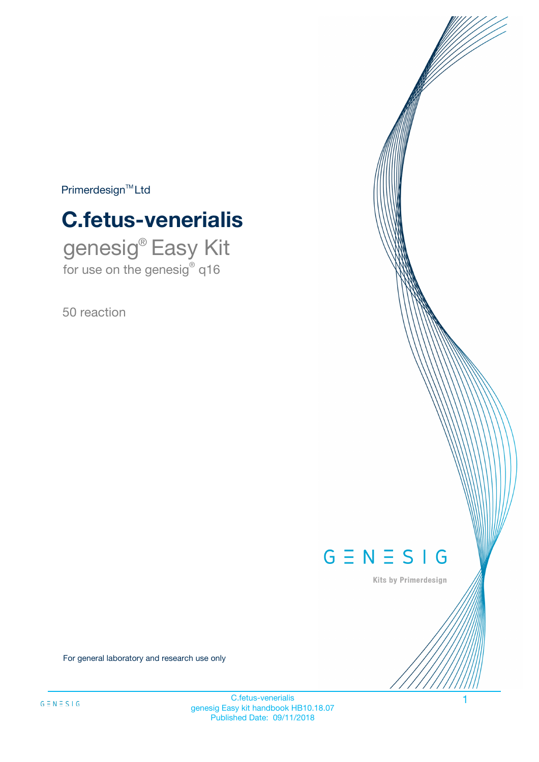$Primerdesign^{\text{TM}}Ltd$ 

# **C.fetus-venerialis**

genesig® Easy Kit for use on the genesig® q16

50 reaction



Kits by Primerdesign

For general laboratory and research use only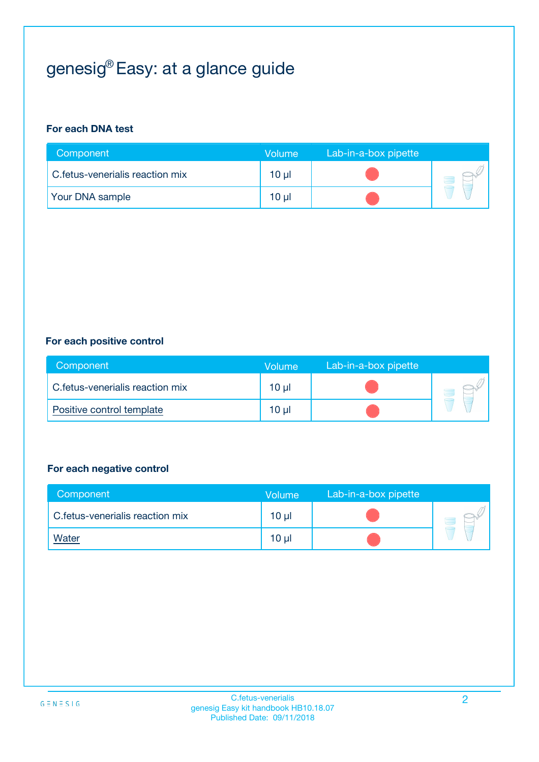## genesig® Easy: at a glance guide

#### **For each DNA test**

| Component                       | <b>Volume</b> | Lab-in-a-box pipette |  |
|---------------------------------|---------------|----------------------|--|
| C.fetus-venerialis reaction mix | 10 µl         |                      |  |
| <b>Your DNA sample</b>          | 10 µl         |                      |  |

#### **For each positive control**

| Component                       | Volume          | Lab-in-a-box pipette |  |
|---------------------------------|-----------------|----------------------|--|
| C.fetus-venerialis reaction mix | 10 <sub>µ</sub> |                      |  |
| Positive control template       | 10 <sub>µ</sub> |                      |  |

#### **For each negative control**

| Component                        | Volume          | Lab-in-a-box pipette |  |
|----------------------------------|-----------------|----------------------|--|
| C. fetus-venerialis reaction mix | $10 \mu$        |                      |  |
| <b>Water</b>                     | 10 <sub>µ</sub> |                      |  |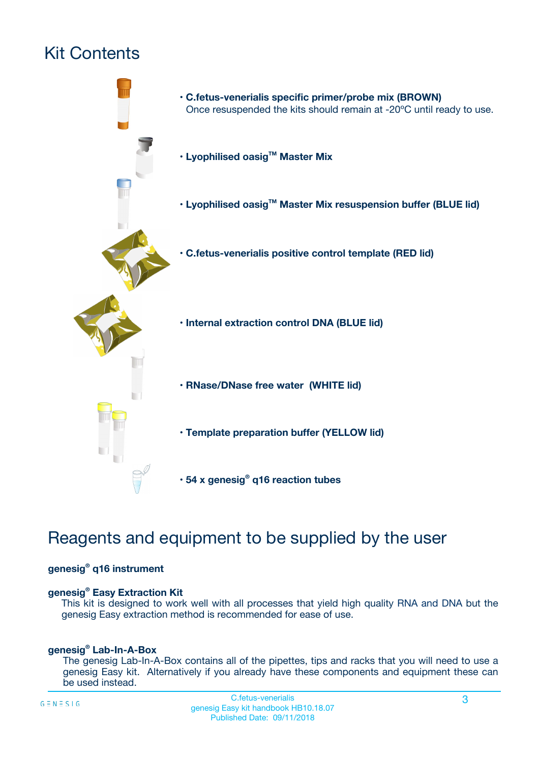## Kit Contents



### Reagents and equipment to be supplied by the user

#### **genesig® q16 instrument**

#### **genesig® Easy Extraction Kit**

This kit is designed to work well with all processes that yield high quality RNA and DNA but the genesig Easy extraction method is recommended for ease of use.

#### **genesig® Lab-In-A-Box**

The genesig Lab-In-A-Box contains all of the pipettes, tips and racks that you will need to use a genesig Easy kit. Alternatively if you already have these components and equipment these can be used instead.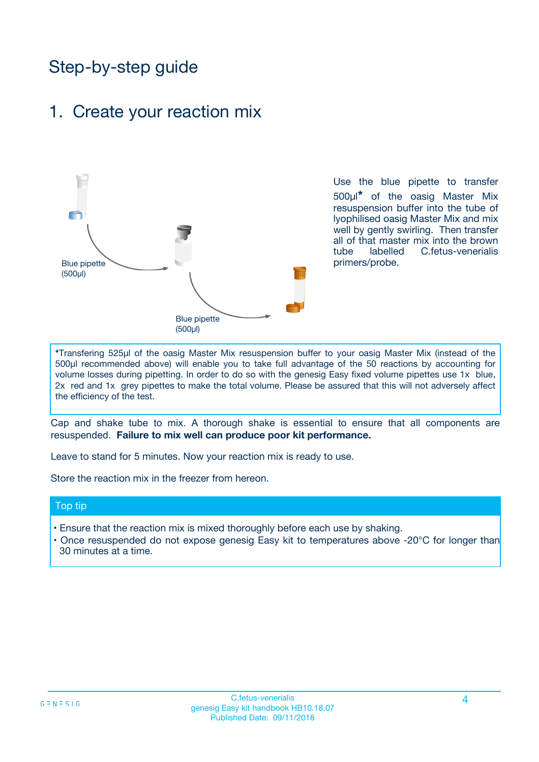### Step-by-step guide

### 1. Create your reaction mix



Use the blue pipette to transfer 500µl**\*** of the oasig Master Mix resuspension buffer into the tube of lyophilised oasig Master Mix and mix well by gently swirling. Then transfer all of that master mix into the brown tube labelled C.fetus-venerialis primers/probe.

**\***Transfering 525µl of the oasig Master Mix resuspension buffer to your oasig Master Mix (instead of the 500µl recommended above) will enable you to take full advantage of the 50 reactions by accounting for volume losses during pipetting. In order to do so with the genesig Easy fixed volume pipettes use 1x blue, 2x red and 1x grey pipettes to make the total volume. Please be assured that this will not adversely affect the efficiency of the test.

Cap and shake tube to mix. A thorough shake is essential to ensure that all components are resuspended. **Failure to mix well can produce poor kit performance.**

Leave to stand for 5 minutes. Now your reaction mix is ready to use.

Store the reaction mix in the freezer from hereon.

#### Top tip

- Ensure that the reaction mix is mixed thoroughly before each use by shaking.
- **•** Once resuspended do not expose genesig Easy kit to temperatures above -20°C for longer than 30 minutes at a time.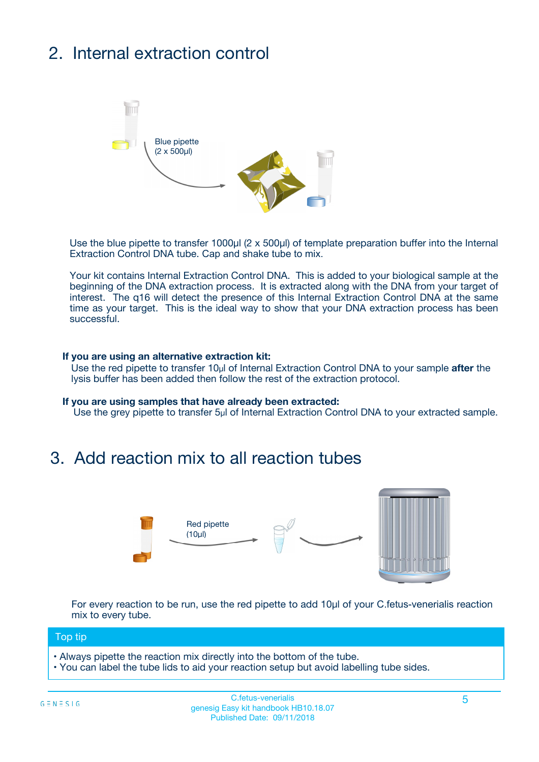## 2. Internal extraction control



Use the blue pipette to transfer 1000µl (2 x 500µl) of template preparation buffer into the Internal Extraction Control DNA tube. Cap and shake tube to mix.

Your kit contains Internal Extraction Control DNA. This is added to your biological sample at the beginning of the DNA extraction process. It is extracted along with the DNA from your target of interest. The q16 will detect the presence of this Internal Extraction Control DNA at the same time as your target. This is the ideal way to show that your DNA extraction process has been successful.

#### **If you are using an alternative extraction kit:**

Use the red pipette to transfer 10µl of Internal Extraction Control DNA to your sample **after** the lysis buffer has been added then follow the rest of the extraction protocol.

#### **If you are using samples that have already been extracted:**

Use the grey pipette to transfer 5µl of Internal Extraction Control DNA to your extracted sample.

### 3. Add reaction mix to all reaction tubes



For every reaction to be run, use the red pipette to add 10µl of your C.fetus-venerialis reaction mix to every tube.

#### Top tip

- Always pipette the reaction mix directly into the bottom of the tube.
- You can label the tube lids to aid your reaction setup but avoid labelling tube sides.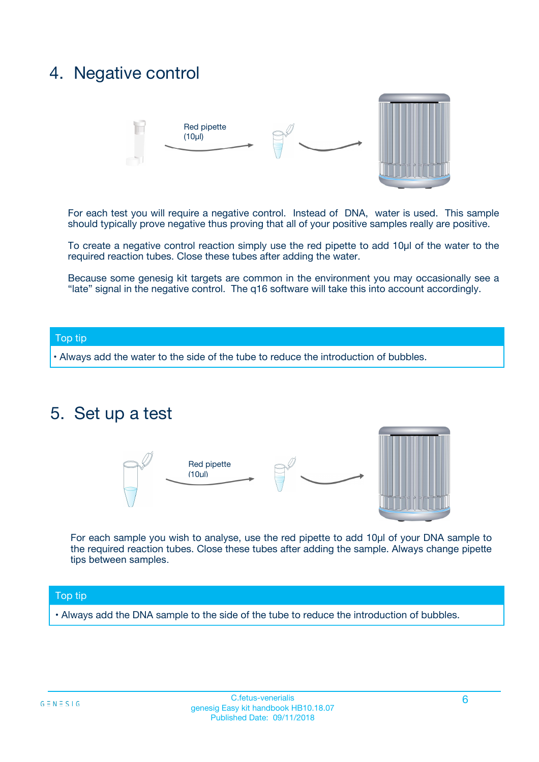### 4. Negative control



For each test you will require a negative control. Instead of DNA, water is used. This sample should typically prove negative thus proving that all of your positive samples really are positive.

To create a negative control reaction simply use the red pipette to add 10µl of the water to the required reaction tubes. Close these tubes after adding the water.

Because some genesig kit targets are common in the environment you may occasionally see a "late" signal in the negative control. The q16 software will take this into account accordingly.

#### Top tip

**•** Always add the water to the side of the tube to reduce the introduction of bubbles.

### 5. Set up a test



For each sample you wish to analyse, use the red pipette to add 10µl of your DNA sample to the required reaction tubes. Close these tubes after adding the sample. Always change pipette tips between samples.

#### Top tip

**•** Always add the DNA sample to the side of the tube to reduce the introduction of bubbles.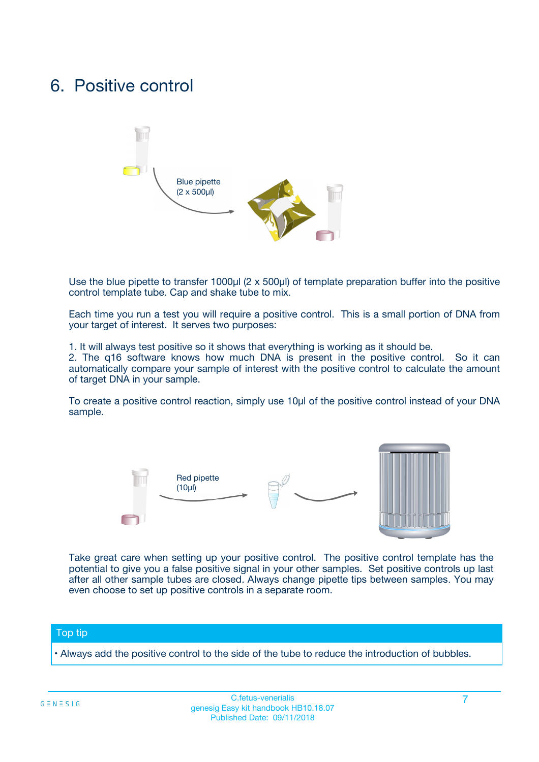### 6. Positive control



Use the blue pipette to transfer 1000µl (2 x 500µl) of template preparation buffer into the positive control template tube. Cap and shake tube to mix.

Each time you run a test you will require a positive control. This is a small portion of DNA from your target of interest. It serves two purposes:

1. It will always test positive so it shows that everything is working as it should be.

2. The q16 software knows how much DNA is present in the positive control. So it can automatically compare your sample of interest with the positive control to calculate the amount of target DNA in your sample.

To create a positive control reaction, simply use 10µl of the positive control instead of your DNA sample.



Take great care when setting up your positive control. The positive control template has the potential to give you a false positive signal in your other samples. Set positive controls up last after all other sample tubes are closed. Always change pipette tips between samples. You may even choose to set up positive controls in a separate room.

#### Top tip

**•** Always add the positive control to the side of the tube to reduce the introduction of bubbles.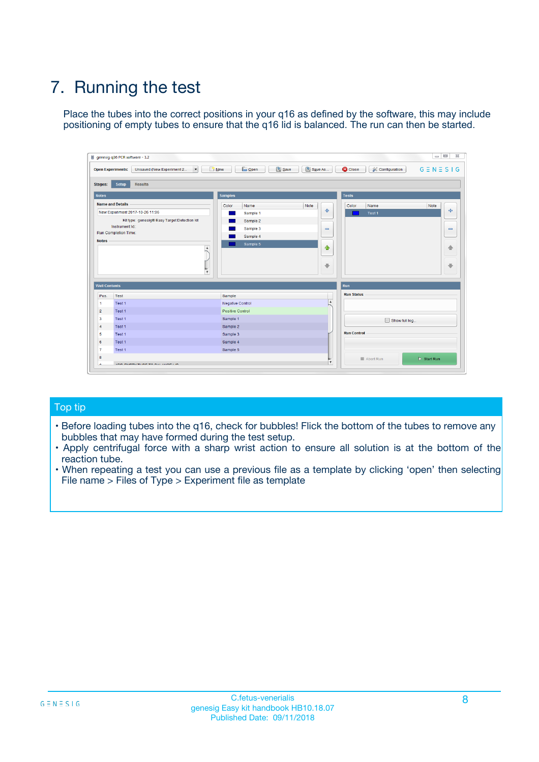## 7. Running the test

Place the tubes into the correct positions in your q16 as defined by the software, this may include positioning of empty tubes to ensure that the q16 lid is balanced. The run can then be started.

| qenesig q16 PCR software - 1.2                                               |                                   | $\Box$                                                                                          |
|------------------------------------------------------------------------------|-----------------------------------|-------------------------------------------------------------------------------------------------|
| $\vert \cdot \vert$<br>Unsaved (New Experiment 2<br><b>Open Experiments:</b> | <b>D</b> Open<br>R <sub>New</sub> | Save<br>Save As<br><b>C</b> Close<br><b>&amp; Configuration</b><br>$G \equiv N \equiv S \mid G$ |
| <b>Setup</b><br><b>Results</b><br>Stages:                                    |                                   |                                                                                                 |
| <b>Notes</b>                                                                 | <b>Samples</b>                    | <b>Tests</b>                                                                                    |
| <b>Name and Details</b>                                                      | Name<br>Color                     | Note<br>Color<br>Note<br>Name                                                                   |
| New Experiment 2017-10-26 11:06                                              | Sample 1                          | ÷<br>条<br>Test 1                                                                                |
| Kit type: genesig® Easy Target Detection kit                                 | Sample 2                          |                                                                                                 |
| Instrument Id.:                                                              | Sample 3                          | $\qquad \qquad \blacksquare$<br>$\qquad \qquad \blacksquare$                                    |
| <b>Run Completion Time:</b>                                                  | Sample 4                          |                                                                                                 |
| <b>Notes</b><br><b>A</b><br>$\overline{\mathbf v}$                           | Sample 5                          | ♦<br>4<br>÷<br>₩                                                                                |
| <b>Well Contents</b>                                                         |                                   | <b>Run</b>                                                                                      |
| Pos.<br>Test                                                                 | Sample                            | <b>Run Status</b>                                                                               |
| Test 1<br>$\blacktriangleleft$                                               | Negative Control                  | $\blacktriangle$                                                                                |
| $\overline{2}$<br>Test 1                                                     | <b>Positive Control</b>           |                                                                                                 |
| $\overline{\mathbf{3}}$<br>Test 1                                            | Sample 1                          | Show full log                                                                                   |
| Test 1<br>4                                                                  | Sample 2                          |                                                                                                 |
| 5<br>Test 1                                                                  | Sample 3                          | <b>Run Control</b>                                                                              |
| Test 1<br>6                                                                  | Sample 4                          |                                                                                                 |
| $\overline{7}$<br>Test 1                                                     | Sample 5                          |                                                                                                 |
| 8                                                                            |                                   | $\triangleright$ Start Run<br>Abort Run                                                         |
| <b>JOD FURTY TUDE TO BUILDED IN</b>                                          |                                   | $\overline{\mathbf{v}}$                                                                         |

#### Top tip

- Before loading tubes into the q16, check for bubbles! Flick the bottom of the tubes to remove any bubbles that may have formed during the test setup.
- Apply centrifugal force with a sharp wrist action to ensure all solution is at the bottom of the reaction tube.
- When repeating a test you can use a previous file as a template by clicking 'open' then selecting File name > Files of Type > Experiment file as template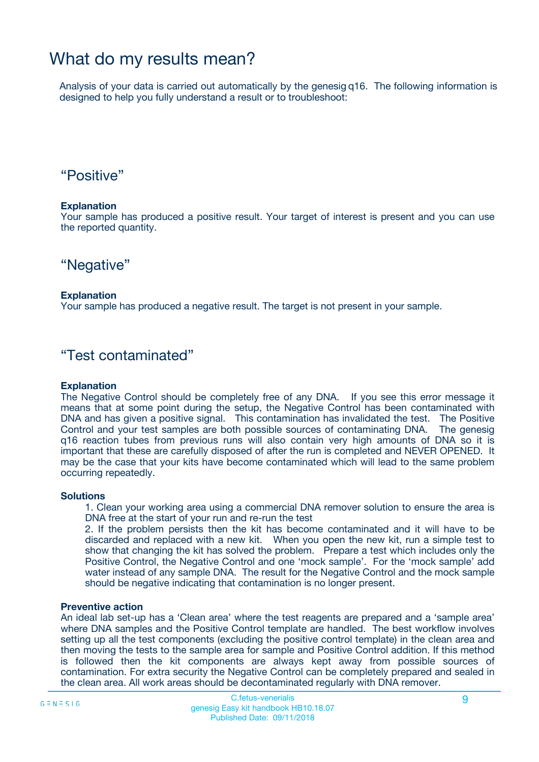### What do my results mean?

Analysis of your data is carried out automatically by the genesig q16. The following information is designed to help you fully understand a result or to troubleshoot:

### "Positive"

#### **Explanation**

Your sample has produced a positive result. Your target of interest is present and you can use the reported quantity.

"Negative"

#### **Explanation**

Your sample has produced a negative result. The target is not present in your sample.

### "Test contaminated"

#### **Explanation**

The Negative Control should be completely free of any DNA. If you see this error message it means that at some point during the setup, the Negative Control has been contaminated with DNA and has given a positive signal. This contamination has invalidated the test. The Positive Control and your test samples are both possible sources of contaminating DNA. The genesig q16 reaction tubes from previous runs will also contain very high amounts of DNA so it is important that these are carefully disposed of after the run is completed and NEVER OPENED. It may be the case that your kits have become contaminated which will lead to the same problem occurring repeatedly.

#### **Solutions**

1. Clean your working area using a commercial DNA remover solution to ensure the area is DNA free at the start of your run and re-run the test

2. If the problem persists then the kit has become contaminated and it will have to be discarded and replaced with a new kit. When you open the new kit, run a simple test to show that changing the kit has solved the problem. Prepare a test which includes only the Positive Control, the Negative Control and one 'mock sample'. For the 'mock sample' add water instead of any sample DNA. The result for the Negative Control and the mock sample should be negative indicating that contamination is no longer present.

#### **Preventive action**

An ideal lab set-up has a 'Clean area' where the test reagents are prepared and a 'sample area' where DNA samples and the Positive Control template are handled. The best workflow involves setting up all the test components (excluding the positive control template) in the clean area and then moving the tests to the sample area for sample and Positive Control addition. If this method is followed then the kit components are always kept away from possible sources of contamination. For extra security the Negative Control can be completely prepared and sealed in the clean area. All work areas should be decontaminated regularly with DNA remover.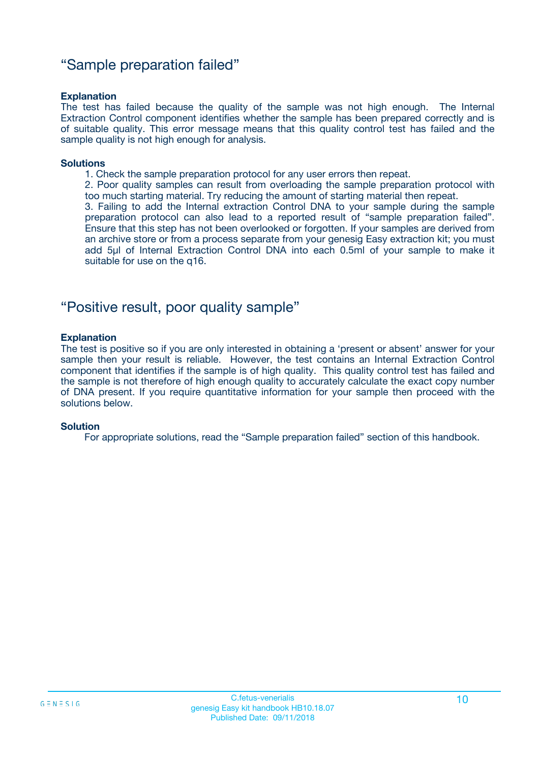### "Sample preparation failed"

#### **Explanation**

The test has failed because the quality of the sample was not high enough. The Internal Extraction Control component identifies whether the sample has been prepared correctly and is of suitable quality. This error message means that this quality control test has failed and the sample quality is not high enough for analysis.

#### **Solutions**

1. Check the sample preparation protocol for any user errors then repeat.

2. Poor quality samples can result from overloading the sample preparation protocol with too much starting material. Try reducing the amount of starting material then repeat.

3. Failing to add the Internal extraction Control DNA to your sample during the sample preparation protocol can also lead to a reported result of "sample preparation failed". Ensure that this step has not been overlooked or forgotten. If your samples are derived from an archive store or from a process separate from your genesig Easy extraction kit; you must add 5µl of Internal Extraction Control DNA into each 0.5ml of your sample to make it suitable for use on the q16.

### "Positive result, poor quality sample"

#### **Explanation**

The test is positive so if you are only interested in obtaining a 'present or absent' answer for your sample then your result is reliable. However, the test contains an Internal Extraction Control component that identifies if the sample is of high quality. This quality control test has failed and the sample is not therefore of high enough quality to accurately calculate the exact copy number of DNA present. If you require quantitative information for your sample then proceed with the solutions below.

#### **Solution**

For appropriate solutions, read the "Sample preparation failed" section of this handbook.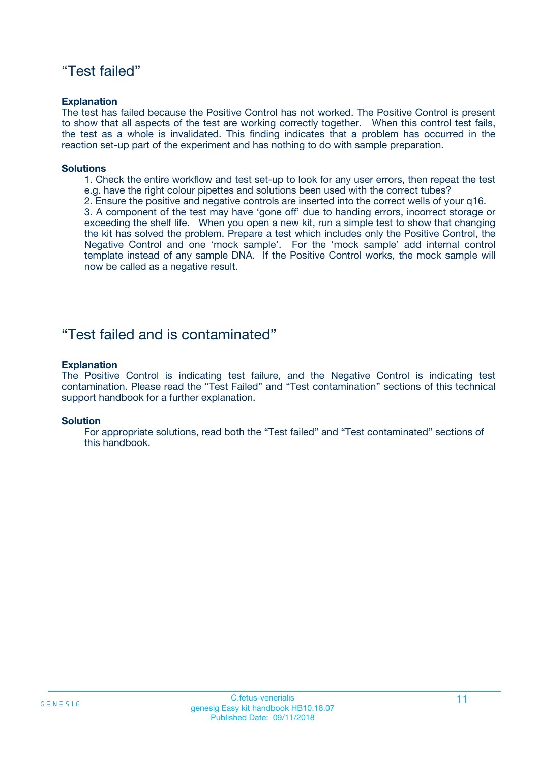### "Test failed"

#### **Explanation**

The test has failed because the Positive Control has not worked. The Positive Control is present to show that all aspects of the test are working correctly together. When this control test fails, the test as a whole is invalidated. This finding indicates that a problem has occurred in the reaction set-up part of the experiment and has nothing to do with sample preparation.

#### **Solutions**

- 1. Check the entire workflow and test set-up to look for any user errors, then repeat the test e.g. have the right colour pipettes and solutions been used with the correct tubes?
- 2. Ensure the positive and negative controls are inserted into the correct wells of your q16.

3. A component of the test may have 'gone off' due to handing errors, incorrect storage or exceeding the shelf life. When you open a new kit, run a simple test to show that changing the kit has solved the problem. Prepare a test which includes only the Positive Control, the Negative Control and one 'mock sample'. For the 'mock sample' add internal control template instead of any sample DNA. If the Positive Control works, the mock sample will now be called as a negative result.

### "Test failed and is contaminated"

#### **Explanation**

The Positive Control is indicating test failure, and the Negative Control is indicating test contamination. Please read the "Test Failed" and "Test contamination" sections of this technical support handbook for a further explanation.

#### **Solution**

For appropriate solutions, read both the "Test failed" and "Test contaminated" sections of this handbook.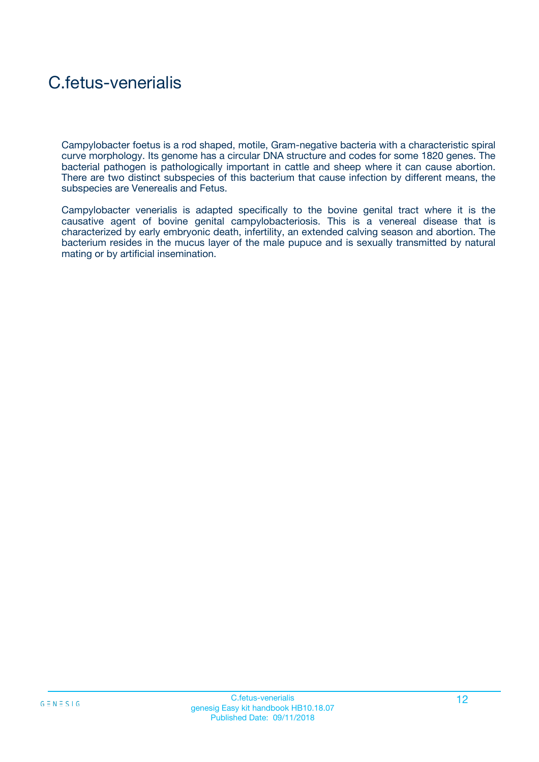## C.fetus-venerialis

Campylobacter foetus is a rod shaped, motile, Gram-negative bacteria with a characteristic spiral curve morphology. Its genome has a circular DNA structure and codes for some 1820 genes. The bacterial pathogen is pathologically important in cattle and sheep where it can cause abortion. There are two distinct subspecies of this bacterium that cause infection by different means, the subspecies are Venerealis and Fetus.

Campylobacter venerialis is adapted specifically to the bovine genital tract where it is the causative agent of bovine genital campylobacteriosis. This is a venereal disease that is characterized by early embryonic death, infertility, an extended calving season and abortion. The bacterium resides in the mucus layer of the male pupuce and is sexually transmitted by natural mating or by artificial insemination.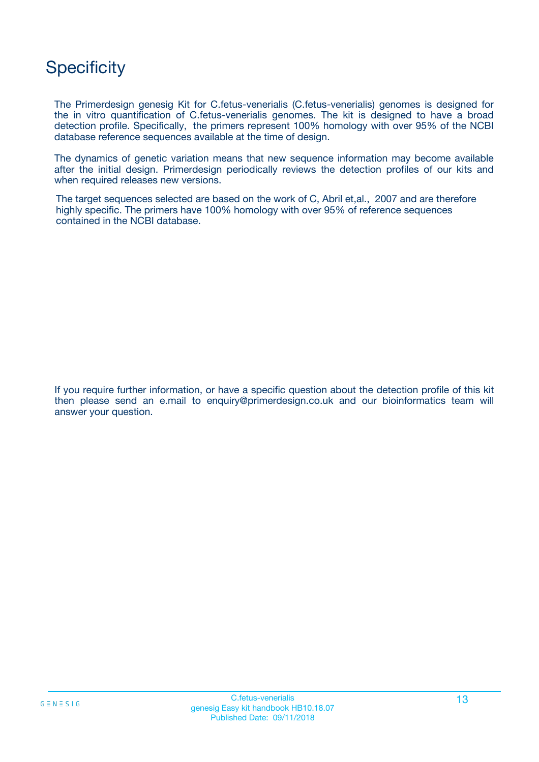### **Specificity**

The Primerdesign genesig Kit for C.fetus-venerialis (C.fetus-venerialis) genomes is designed for the in vitro quantification of C.fetus-venerialis genomes. The kit is designed to have a broad detection profile. Specifically, the primers represent 100% homology with over 95% of the NCBI database reference sequences available at the time of design.

The dynamics of genetic variation means that new sequence information may become available after the initial design. Primerdesign periodically reviews the detection profiles of our kits and when required releases new versions.

The target sequences selected are based on the work of C, Abril et,al., 2007 and are therefore highly specific. The primers have 100% homology with over 95% of reference sequences contained in the NCBI database.

If you require further information, or have a specific question about the detection profile of this kit then please send an e.mail to enquiry@primerdesign.co.uk and our bioinformatics team will answer your question.